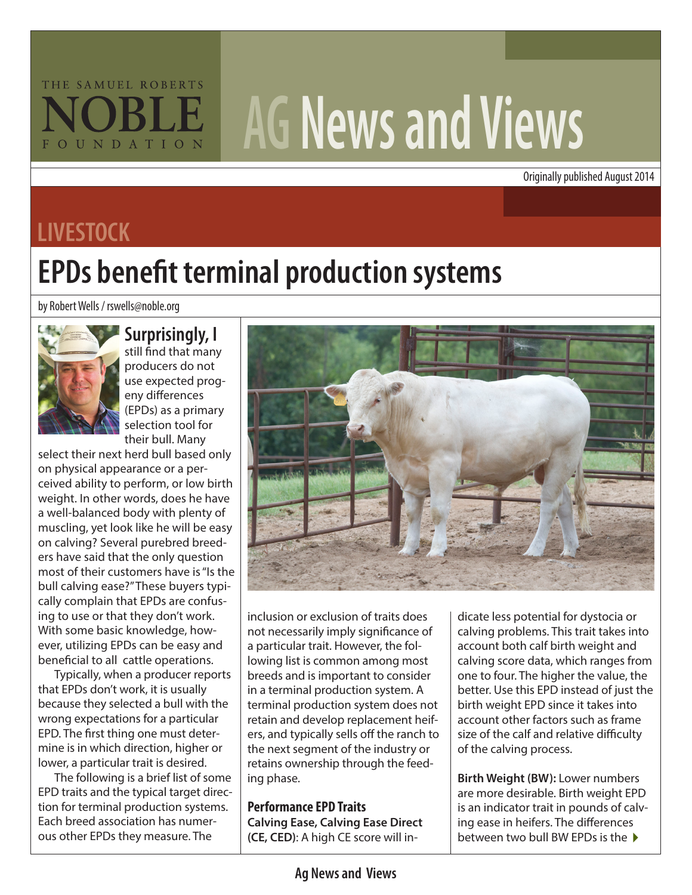## THE SAMUEL ROBERTS FOUNDATION

# **AG News and Views**

Originally published August 2014

## **LIVESTOCK**

# **EPDs benefit terminal production systems**

by Robert Wells / rswells@noble.org



#### **Surprisingly, I**

still find that many producers do not use expected progeny differences (EPDs) as a primary selection tool for their bull. Many

select their next herd bull based only on physical appearance or a perceived ability to perform, or low birth weight. In other words, does he have a well-balanced body with plenty of muscling, yet look like he will be easy on calving? Several purebred breeders have said that the only question most of their customers have is "Is the bull calving ease?" These buyers typically complain that EPDs are confusing to use or that they don't work. With some basic knowledge, however, utilizing EPDs can be easy and beneficial to all cattle operations.

Typically, when a producer reports that EPDs don't work, it is usually because they selected a bull with the wrong expectations for a particular EPD. The first thing one must determine is in which direction, higher or lower, a particular trait is desired.

The following is a brief list of some EPD traits and the typical target direction for terminal production systems. Each breed association has numerous other EPDs they measure. The



inclusion or exclusion of traits does not necessarily imply significance of a particular trait. However, the following list is common among most breeds and is important to consider in a terminal production system. A terminal production system does not retain and develop replacement heifers, and typically sells off the ranch to the next segment of the industry or retains ownership through the feeding phase.

**Performance EPD Traits Calving Ease, Calving Ease Direct (CE, CED)**: A high CE score will in-

dicate less potential for dystocia or calving problems. This trait takes into account both calf birth weight and calving score data, which ranges from one to four. The higher the value, the better. Use this EPD instead of just the birth weight EPD since it takes into account other factors such as frame size of the calf and relative difficulty of the calving process.

between two bull BW EPDs is the  $\blacktriangleright$ **Birth Weight (BW):** Lower numbers are more desirable. Birth weight EPD is an indicator trait in pounds of calving ease in heifers. The differences